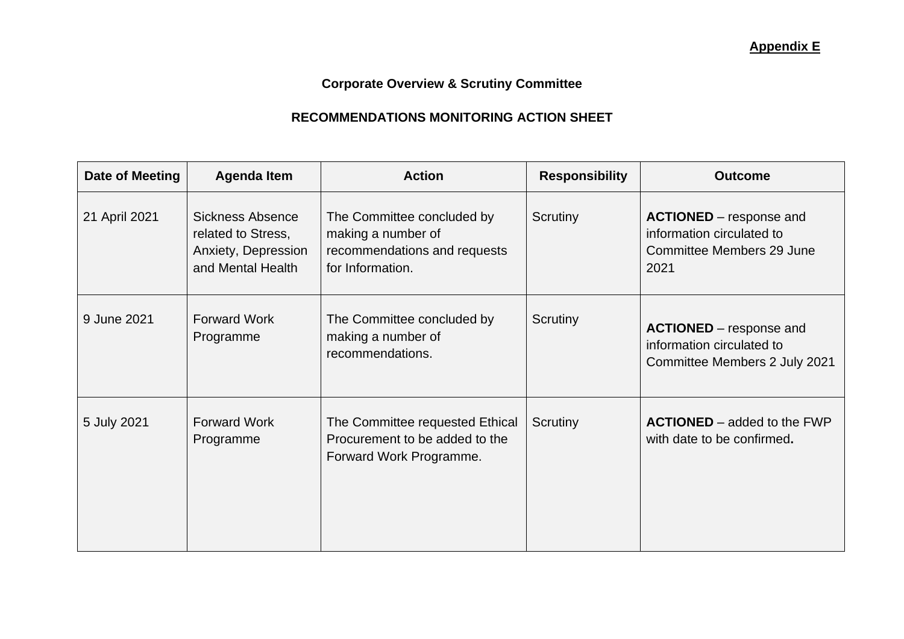**Corporate Overview & Scrutiny Committee**

## **RECOMMENDATIONS MONITORING ACTION SHEET**

| Date of Meeting | <b>Agenda Item</b>                                                                        | <b>Action</b>                                                                                        | <b>Responsibility</b> | <b>Outcome</b>                                                                                   |
|-----------------|-------------------------------------------------------------------------------------------|------------------------------------------------------------------------------------------------------|-----------------------|--------------------------------------------------------------------------------------------------|
| 21 April 2021   | <b>Sickness Absence</b><br>related to Stress,<br>Anxiety, Depression<br>and Mental Health | The Committee concluded by<br>making a number of<br>recommendations and requests<br>for Information. | Scrutiny              | <b>ACTIONED</b> – response and<br>information circulated to<br>Committee Members 29 June<br>2021 |
| 9 June 2021     | <b>Forward Work</b><br>Programme                                                          | The Committee concluded by<br>making a number of<br>recommendations.                                 | Scrutiny              | <b>ACTIONED</b> – response and<br>information circulated to<br>Committee Members 2 July 2021     |
| 5 July 2021     | <b>Forward Work</b><br>Programme                                                          | The Committee requested Ethical<br>Procurement to be added to the<br>Forward Work Programme.         | Scrutiny              | <b>ACTIONED</b> – added to the FWP<br>with date to be confirmed.                                 |